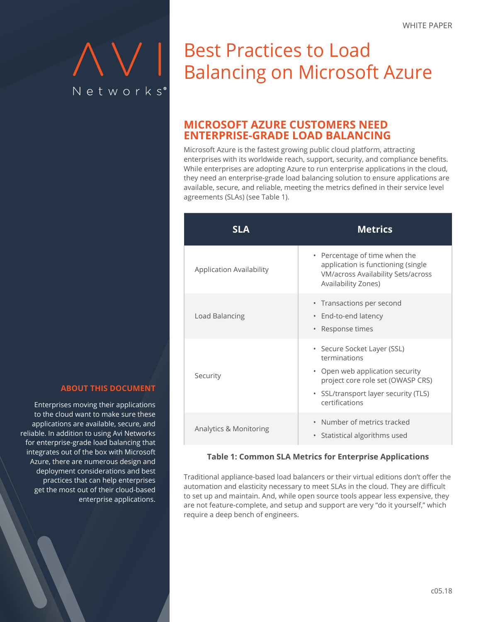# Networks®

# **Balancing on Microsoft Azure** Best Practices to Load

# **MICROSOFT AZURE CUSTOMERS NEED ENTERPRISE-GRADE LOAD BALANCING**

Microsoft Azure is the fastest growing public cloud platform, attracting enterprises with its worldwide reach, support, security, and compliance benefits. While enterprises are adopting Azure to run enterprise applications in the cloud, they need an enterprise-grade load balancing solution to ensure applications are available, secure, and reliable, meeting the metrics defined in their service level agreements (SLAs) (see Table 1).

| SI A                            | <b>Metrics</b>                                                                                                                                                                |
|---------------------------------|-------------------------------------------------------------------------------------------------------------------------------------------------------------------------------|
| <b>Application Availability</b> | • Percentage of time when the<br>application is functioning (single<br><b>VM/across Availability Sets/across</b><br>Availability Zones)                                       |
| Load Balancing                  | • Transactions per second<br>End-to-end latency<br>۰<br>Response times<br>۰                                                                                                   |
| Security                        | • Secure Socket Layer (SSL)<br>terminations<br>• Open web application security<br>project core role set (OWASP CRS)<br>• SSL/transport layer security (TLS)<br>certifications |
| Analytics & Monitoring          | Number of metrics tracked<br>Statistical algorithms used<br>۰                                                                                                                 |

#### **Table 1: Common SLA Metrics for Enterprise Applications**

Traditional appliance-based load balancers or their virtual editions don't offer the automation and elasticity necessary to meet SLAs in the cloud. They are difficult to set up and maintain. And, while open source tools appear less expensive, they are not feature-complete, and setup and support are very "do it yourself," which require a deep bench of engineers.

#### **ABOUT THIS DOCUMENT**

Enterprises moving their applications to the cloud want to make sure these applications are available, secure, and reliable. In addition to using Avi Networks for enterprise-grade load balancing that integrates out of the box with Microsoft Azure, there are numerous design and deployment considerations and best practices that can help enterprises get the most out of their cloud-based enterprise applications.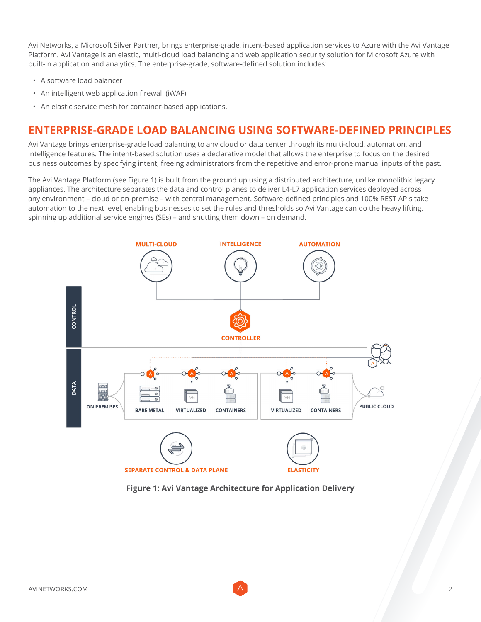Avi Networks, a Microsoft Silver Partner, brings enterprise-grade, intent-based application services to Azure with the Avi Vantage Platform. Avi Vantage is an elastic, multi-cloud load balancing and web application security solution for Microsoft Azure with built-in application and analytics. The enterprise-grade, software-defined solution includes:

- A software load balancer
- An intelligent web application firewall (iWAF)
- An elastic service mesh for container-based applications.

# **ENTERPRISE-GRADE LOAD BALANCING USING SOFTWARE-DEFINED PRINCIPLES**

Avi Vantage brings enterprise-grade load balancing to any cloud or data center through its multi-cloud, automation, and intelligence features. The intent-based solution uses a declarative model that allows the enterprise to focus on the desired business outcomes by specifying intent, freeing administrators from the repetitive and error-prone manual inputs of the past.

The Avi Vantage Platform (see Figure 1) is built from the ground up using a distributed architecture, unlike monolithic legacy appliances. The architecture separates the data and control planes to deliver L4-L7 application services deployed across any environment – cloud or on-premise – with central management. Software-defined principles and 100% REST APIs take automation to the next level, enabling businesses to set the rules and thresholds so Avi Vantage can do the heavy lifting, spinning up additional service engines (SEs) – and shutting them down – on demand.



**Figure 1: Avi Vantage Architecture for Application Delivery**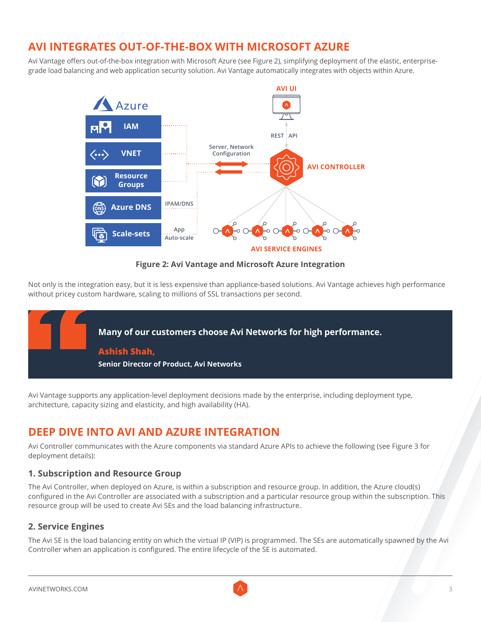# **AVI INTEGRATES OUT-OF-THE-BOX WITH MICROSOFT AZURE**

Avi Vantage offers out-of-the-box integration with Microsoft Azure (see Figure 2), simplifying deployment of the elastic, enterprisegrade load balancing and web application security solution. Avi Vantage automatically integrates with objects within Azure.



**Figure 2: Avi Vantage and Microsoft Azure Integration**

Not only is the integration easy, but it is less expensive than appliance-based solutions. Avi Vantage achieves high performance without pricey custom hardware, scaling to millions of SSL transactions per second.



Avi Vantage supports any application-level deployment decisions made by the enterprise, including deployment type, architecture, capacity sizing and elasticity, and high availability (HA).

# **DEEP DIVE INTO AVI AND AZURE INTEGRATION**

Avi Controller communicates with the Azure components via standard Azure APIs to achieve the following (see Figure 3 for deployment details):

#### **1. Subscription and Resource Group**

The Avi Controller, when deployed on Azure, is within a subscription and resource group. In addition, the Azure cloud(s) configured in the Avi Controller are associated with a subscription and a particular resource group within the subscription. This resource group will be used to create Avi SEs and the load balancing infrastructure.

#### **2. Service Engines**

The Avi SE is the load balancing entity on which the virtual IP (VIP) is programmed. The SEs are automatically spawned by the Avi Controller when an application is configured. The entire lifecycle of the SE is automated.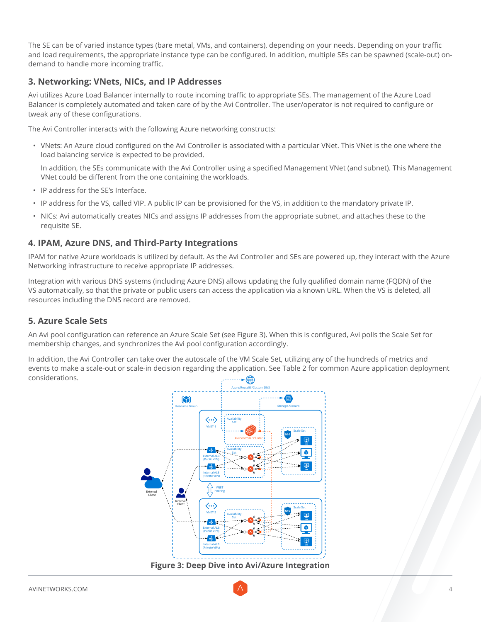The SE can be of varied instance types (bare metal, VMs, and containers), depending on your needs. Depending on your traffic and load requirements, the appropriate instance type can be configured. In addition, multiple SEs can be spawned (scale-out) ondemand to handle more incoming traffic.

#### **3. Networking: VNets, NICs, and IP Addresses**

Avi utilizes Azure Load Balancer internally to route incoming traffic to appropriate SEs. The management of the Azure Load Balancer is completely automated and taken care of by the Avi Controller. The user/operator is not required to configure or tweak any of these configurations.

The Avi Controller interacts with the following Azure networking constructs:

• VNets: An Azure cloud configured on the Avi Controller is associated with a particular VNet. This VNet is the one where the load balancing service is expected to be provided.

In addition, the SEs communicate with the Avi Controller using a specified Management VNet (and subnet). This Management VNet could be different from the one containing the workloads.

- IP address for the SE's Interface.
- IP address for the VS, called VIP. A public IP can be provisioned for the VS, in addition to the mandatory private IP.
- NICs: Avi automatically creates NICs and assigns IP addresses from the appropriate subnet, and attaches these to the requisite SE.

#### **4. IPAM, Azure DNS, and Third-Party Integrations**

IPAM for native Azure workloads is utilized by default. As the Avi Controller and SEs are powered up, they interact with the Azure Networking infrastructure to receive appropriate IP addresses.

Integration with various DNS systems (including Azure DNS) allows updating the fully qualified domain name (FQDN) of the VS automatically, so that the private or public users can access the application via a known URL. When the VS is deleted, all resources including the DNS record are removed.

#### **5. Azure Scale Sets**

An Avi pool configuration can reference an Azure Scale Set (see Figure 3). When this is configured, Avi polls the Scale Set for membership changes, and synchronizes the Avi pool configuration accordingly.

In addition, the Avi Controller can take over the autoscale of the VM Scale Set, utilizing any of the hundreds of metrics and events to make a scale-out or scale-in decision regarding the application. See Table 2 for common Azure application deployment considerations.



**Figure 3: Deep Dive into Avi/Azure Integration**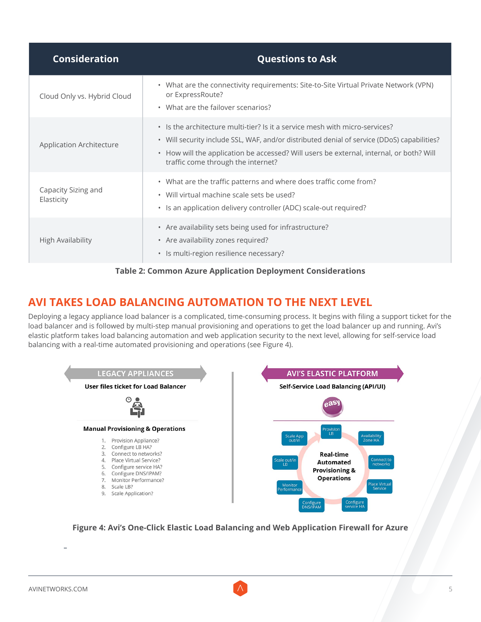| <b>Consideration</b>              | <b>Questions to Ask</b>                                                                                                                                                                                                                                                                                     |
|-----------------------------------|-------------------------------------------------------------------------------------------------------------------------------------------------------------------------------------------------------------------------------------------------------------------------------------------------------------|
| Cloud Only vs. Hybrid Cloud       | • What are the connectivity requirements: Site-to-Site Virtual Private Network (VPN)<br>or ExpressRoute?<br>• What are the failover scenarios?                                                                                                                                                              |
| Application Architecture          | • Is the architecture multi-tier? Is it a service mesh with micro-services?<br>• Will security include SSL, WAF, and/or distributed denial of service (DDoS) capabilities?<br>• How will the application be accessed? Will users be external, internal, or both? Will<br>traffic come through the internet? |
| Capacity Sizing and<br>Elasticity | • What are the traffic patterns and where does traffic come from?<br>• Will virtual machine scale sets be used?<br>• Is an application delivery controller (ADC) scale-out required?                                                                                                                        |
| <b>High Availability</b>          | • Are availability sets being used for infrastructure?<br>• Are availability zones required?<br>· Is multi-region resilience necessary?                                                                                                                                                                     |



# **AVI TAKES LOAD BALANCING AUTOMATION TO THE NEXT LEVEL**

Deploying a legacy appliance load balancer is a complicated, time-consuming process. It begins with filing a support ticket for the load balancer and is followed by multi-step manual provisioning and operations to get the load balancer up and running. Avi's elastic platform takes load balancing automation and web application security to the next level, allowing for self-service load balancing with a real-time automated provisioning and operations (see Figure 4).



**Figure 4: Avi's One-Click Elastic Load Balancing and Web Application Firewall for Azure**

**−**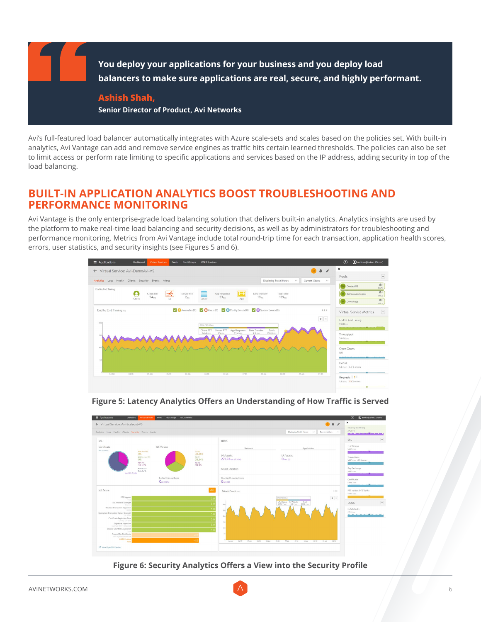

Avi's full-featured load balancer automatically integrates with Azure scale-sets and scales based on the policies set. With built-in analytics, Avi Vantage can add and remove service engines as traffic hits certain learned thresholds. The policies can also be set to limit access or perform rate limiting to specific applications and services based on the IP address, adding security in top of the load balancing.

### **BUILT-IN APPLICATION ANALYTICS BOOST TROUBLESHOOTING AND PERFORMANCE MONITORING**

Avi Vantage is the only enterprise-grade load balancing solution that delivers built-in analytics. Analytics insights are used by the platform to make real-time load balancing and security decisions, as well as by administrators for troubleshooting and performance monitoring. Metrics from Avi Vantage include total round-trip time for each transaction, application health scores, errors, user statistics, and security insights (see Figures 5 and 6).





**Figure 5: Latency Analytics Offers an Understanding of How Traffic is Served**

**Figure 6: Security Analytics Offers a View into the Security Profile**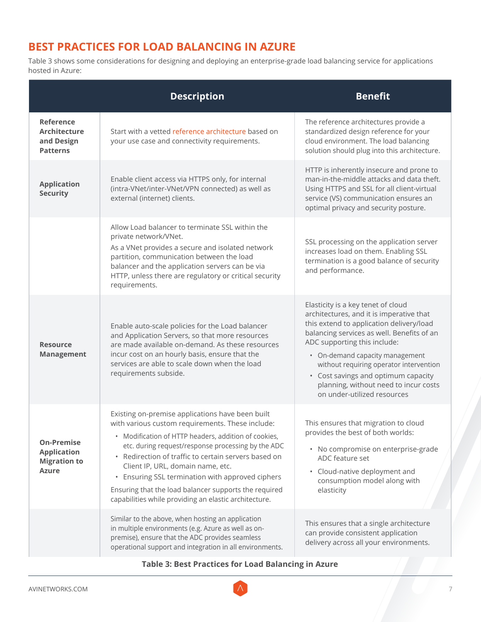# **BEST PRACTICES FOR LOAD BALANCING IN AZURE**

Table 3 shows some considerations for designing and deploying an enterprise-grade load balancing service for applications hosted in Azure:

|                                                                                | <b>Description</b>                                                                                                                                                                                                                                                                                                                                                                                                                                                                             | <b>Benefit</b>                                                                                                                                                                                                                                                                                                                                                                                        |
|--------------------------------------------------------------------------------|------------------------------------------------------------------------------------------------------------------------------------------------------------------------------------------------------------------------------------------------------------------------------------------------------------------------------------------------------------------------------------------------------------------------------------------------------------------------------------------------|-------------------------------------------------------------------------------------------------------------------------------------------------------------------------------------------------------------------------------------------------------------------------------------------------------------------------------------------------------------------------------------------------------|
| <b>Reference</b><br><b>Architecture</b><br>and Design<br><b>Patterns</b>       | Start with a vetted reference architecture based on<br>your use case and connectivity requirements.                                                                                                                                                                                                                                                                                                                                                                                            | The reference architectures provide a<br>standardized design reference for your<br>cloud environment. The load balancing<br>solution should plug into this architecture.                                                                                                                                                                                                                              |
| <b>Application</b><br><b>Security</b>                                          | Enable client access via HTTPS only, for internal<br>(intra-VNet/inter-VNet/VPN connected) as well as<br>external (internet) clients.                                                                                                                                                                                                                                                                                                                                                          | HTTP is inherently insecure and prone to<br>man-in-the-middle attacks and data theft.<br>Using HTTPS and SSL for all client-virtual<br>service (VS) communication ensures an<br>optimal privacy and security posture.                                                                                                                                                                                 |
|                                                                                | Allow Load balancer to terminate SSL within the<br>private network/VNet.<br>As a VNet provides a secure and isolated network<br>partition, communication between the load<br>balancer and the application servers can be via<br>HTTP, unless there are regulatory or critical security<br>requirements.                                                                                                                                                                                        | SSL processing on the application server<br>increases load on them. Enabling SSL<br>termination is a good balance of security<br>and performance.                                                                                                                                                                                                                                                     |
| <b>Resource</b><br><b>Management</b>                                           | Enable auto-scale policies for the Load balancer<br>and Application Servers, so that more resources<br>are made available on-demand. As these resources<br>incur cost on an hourly basis, ensure that the<br>services are able to scale down when the load<br>requirements subside.                                                                                                                                                                                                            | Elasticity is a key tenet of cloud<br>architectures, and it is imperative that<br>this extend to application delivery/load<br>balancing services as well. Benefits of an<br>ADC supporting this include:<br>• On-demand capacity management<br>without requiring operator intervention<br>• Cost savings and optimum capacity<br>planning, without need to incur costs<br>on under-utilized resources |
| <b>On-Premise</b><br><b>Application</b><br><b>Migration to</b><br><b>Azure</b> | Existing on-premise applications have been built<br>with various custom requirements. These include:<br>• Modification of HTTP headers, addition of cookies,<br>etc. during request/response processing by the ADC<br>Redirection of traffic to certain servers based on<br>Client IP, URL, domain name, etc.<br>Ensuring SSL termination with approved ciphers<br>$\bullet$<br>Ensuring that the load balancer supports the required<br>capabilities while providing an elastic architecture. | This ensures that migration to cloud<br>provides the best of both worlds:<br>• No compromise on enterprise-grade<br>ADC feature set<br>• Cloud-native deployment and<br>consumption model along with<br>elasticity                                                                                                                                                                                    |
|                                                                                | Similar to the above, when hosting an application<br>in multiple environments (e.g. Azure as well as on-<br>premise), ensure that the ADC provides seamless<br>operational support and integration in all environments.                                                                                                                                                                                                                                                                        | This ensures that a single architecture<br>can provide consistent application<br>delivery across all your environments.                                                                                                                                                                                                                                                                               |

#### **Table 3: Best Practices for Load Balancing in Azure**